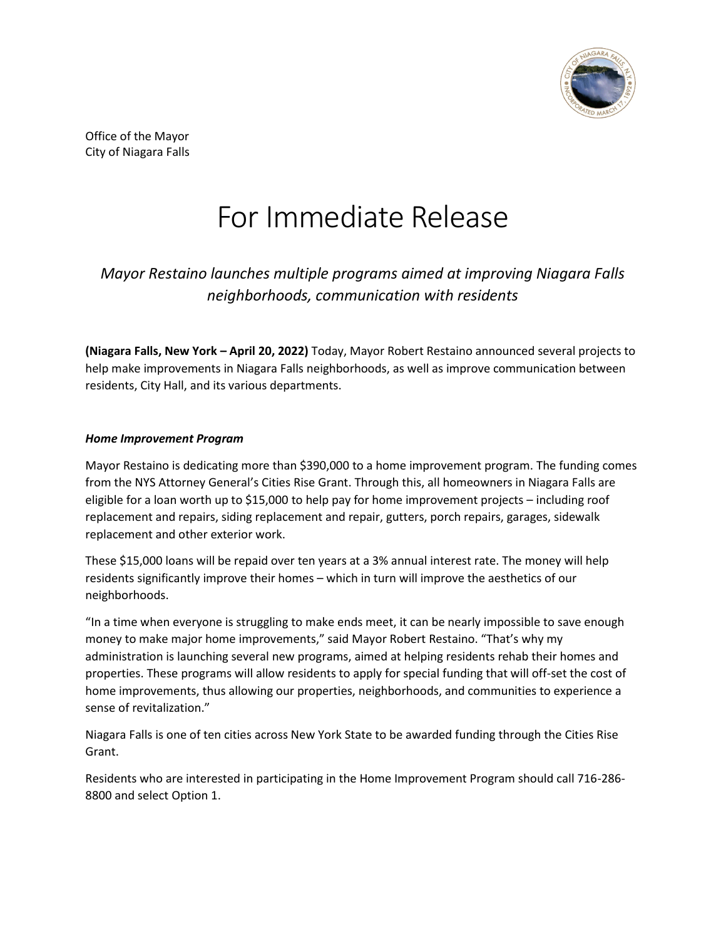

Office of the Mayor City of Niagara Falls

# For Immediate Release

## *Mayor Restaino launches multiple programs aimed at improving Niagara Falls neighborhoods, communication with residents*

**(Niagara Falls, New York – April 20, 2022)** Today, Mayor Robert Restaino announced several projects to help make improvements in Niagara Falls neighborhoods, as well as improve communication between residents, City Hall, and its various departments.

#### *Home Improvement Program*

Mayor Restaino is dedicating more than \$390,000 to a home improvement program. The funding comes from the NYS Attorney General's Cities Rise Grant. Through this, all homeowners in Niagara Falls are eligible for a loan worth up to \$15,000 to help pay for home improvement projects – including roof replacement and repairs, siding replacement and repair, gutters, porch repairs, garages, sidewalk replacement and other exterior work.

These \$15,000 loans will be repaid over ten years at a 3% annual interest rate. The money will help residents significantly improve their homes – which in turn will improve the aesthetics of our neighborhoods.

"In a time when everyone is struggling to make ends meet, it can be nearly impossible to save enough money to make major home improvements," said Mayor Robert Restaino. "That's why my administration is launching several new programs, aimed at helping residents rehab their homes and properties. These programs will allow residents to apply for special funding that will off-set the cost of home improvements, thus allowing our properties, neighborhoods, and communities to experience a sense of revitalization."

Niagara Falls is one of ten cities across New York State to be awarded funding through the Cities Rise Grant.

Residents who are interested in participating in the Home Improvement Program should call 716-286- 8800 and select Option 1.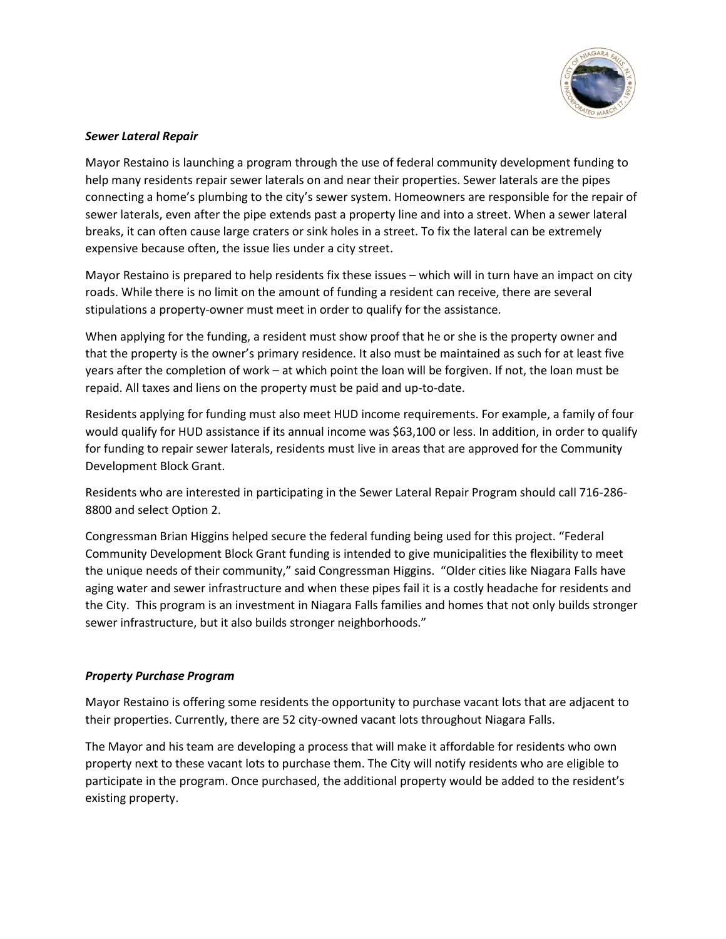

#### *Sewer Lateral Repair*

Mayor Restaino is launching a program through the use of federal community development funding to help many residents repair sewer laterals on and near their properties. Sewer laterals are the pipes connecting a home's plumbing to the city's sewer system. Homeowners are responsible for the repair of sewer laterals, even after the pipe extends past a property line and into a street. When a sewer lateral breaks, it can often cause large craters or sink holes in a street. To fix the lateral can be extremely expensive because often, the issue lies under a city street.

Mayor Restaino is prepared to help residents fix these issues – which will in turn have an impact on city roads. While there is no limit on the amount of funding a resident can receive, there are several stipulations a property-owner must meet in order to qualify for the assistance.

When applying for the funding, a resident must show proof that he or she is the property owner and that the property is the owner's primary residence. It also must be maintained as such for at least five years after the completion of work – at which point the loan will be forgiven. If not, the loan must be repaid. All taxes and liens on the property must be paid and up-to-date.

Residents applying for funding must also meet HUD income requirements. For example, a family of four would qualify for HUD assistance if its annual income was \$63,100 or less. In addition, in order to qualify for funding to repair sewer laterals, residents must live in areas that are approved for the Community Development Block Grant.

Residents who are interested in participating in the Sewer Lateral Repair Program should call 716-286- 8800 and select Option 2.

Congressman Brian Higgins helped secure the federal funding being used for this project. "Federal Community Development Block Grant funding is intended to give municipalities the flexibility to meet the unique needs of their community," said Congressman Higgins. "Older cities like Niagara Falls have aging water and sewer infrastructure and when these pipes fail it is a costly headache for residents and the City. This program is an investment in Niagara Falls families and homes that not only builds stronger sewer infrastructure, but it also builds stronger neighborhoods."

### *Property Purchase Program*

Mayor Restaino is offering some residents the opportunity to purchase vacant lots that are adjacent to their properties. Currently, there are 52 city-owned vacant lots throughout Niagara Falls.

The Mayor and his team are developing a process that will make it affordable for residents who own property next to these vacant lots to purchase them. The City will notify residents who are eligible to participate in the program. Once purchased, the additional property would be added to the resident's existing property.